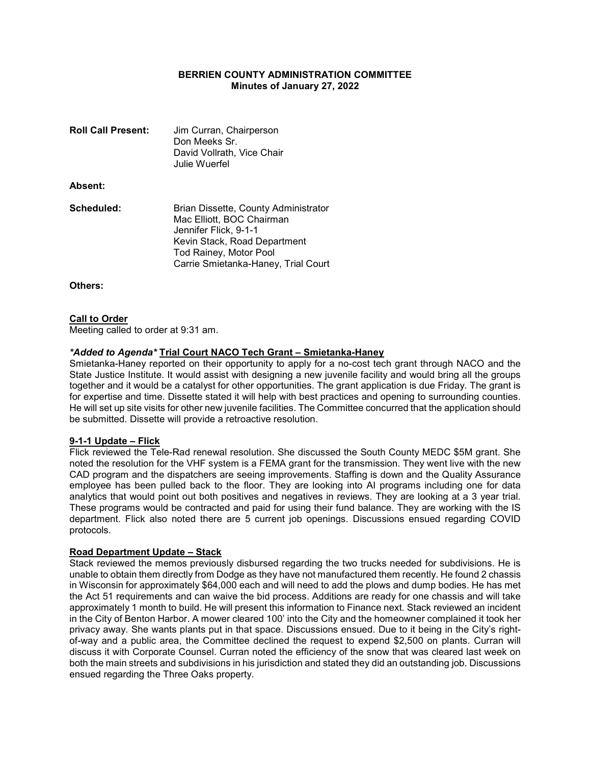# BERRIEN COUNTY ADMINISTRATION COMMITTEE Minutes of January 27, 2022

| <b>Roll Call Present:</b> | Jim Curran, Chairperson<br>Don Meeks Sr.<br>David Vollrath, Vice Chair<br>Julie Wuerfel                                                                                                     |
|---------------------------|---------------------------------------------------------------------------------------------------------------------------------------------------------------------------------------------|
| <b>Absent:</b>            |                                                                                                                                                                                             |
| Scheduled:                | Brian Dissette, County Administrator<br>Mac Elliott, BOC Chairman<br>Jennifer Flick, 9-1-1<br>Kevin Stack, Road Department<br>Tod Rainey, Motor Pool<br>Carrie Smietanka-Haney, Trial Court |

Others:

### Call to Order

Meeting called to order at 9:31 am.

# \*Added to Agenda\* Trial Court NACO Tech Grant – Smietanka-Haney

Smietanka-Haney reported on their opportunity to apply for a no-cost tech grant through NACO and the State Justice Institute. It would assist with designing a new juvenile facility and would bring all the groups together and it would be a catalyst for other opportunities. The grant application is due Friday. The grant is for expertise and time. Dissette stated it will help with best practices and opening to surrounding counties. He will set up site visits for other new juvenile facilities. The Committee concurred that the application should be submitted. Dissette will provide a retroactive resolution.

## 9-1-1 Update – Flick

Flick reviewed the Tele-Rad renewal resolution. She discussed the South County MEDC \$5M grant. She noted the resolution for the VHF system is a FEMA grant for the transmission. They went live with the new CAD program and the dispatchers are seeing improvements. Staffing is down and the Quality Assurance employee has been pulled back to the floor. They are looking into AI programs including one for data analytics that would point out both positives and negatives in reviews. They are looking at a 3 year trial. These programs would be contracted and paid for using their fund balance. They are working with the IS department. Flick also noted there are 5 current job openings. Discussions ensued regarding COVID protocols.

### Road Department Update – Stack

Stack reviewed the memos previously disbursed regarding the two trucks needed for subdivisions. He is unable to obtain them directly from Dodge as they have not manufactured them recently. He found 2 chassis in Wisconsin for approximately \$64,000 each and will need to add the plows and dump bodies. He has met the Act 51 requirements and can waive the bid process. Additions are ready for one chassis and will take approximately 1 month to build. He will present this information to Finance next. Stack reviewed an incident in the City of Benton Harbor. A mower cleared 100' into the City and the homeowner complained it took her privacy away. She wants plants put in that space. Discussions ensued. Due to it being in the City's rightof-way and a public area, the Committee declined the request to expend \$2,500 on plants. Curran will discuss it with Corporate Counsel. Curran noted the efficiency of the snow that was cleared last week on both the main streets and subdivisions in his jurisdiction and stated they did an outstanding job. Discussions ensued regarding the Three Oaks property.